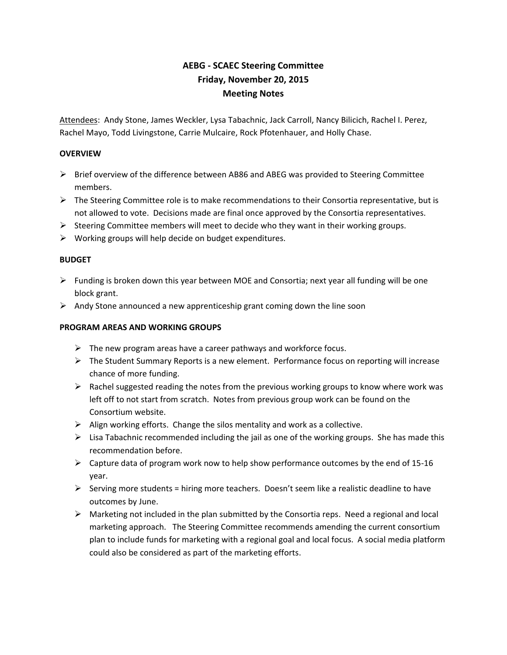# **AEBG - SCAEC Steering Committee Friday, November 20, 2015 Meeting Notes**

Attendees: Andy Stone, James Weckler, Lysa Tabachnic, Jack Carroll, Nancy Bilicich, Rachel I. Perez, Rachel Mayo, Todd Livingstone, Carrie Mulcaire, Rock Pfotenhauer, and Holly Chase.

#### **OVERVIEW**

- $\triangleright$  Brief overview of the difference between AB86 and ABEG was provided to Steering Committee members.
- $\triangleright$  The Steering Committee role is to make recommendations to their Consortia representative, but is not allowed to vote. Decisions made are final once approved by the Consortia representatives.
- $\triangleright$  Steering Committee members will meet to decide who they want in their working groups.
- $\triangleright$  Working groups will help decide on budget expenditures.

#### **BUDGET**

- $\triangleright$  Funding is broken down this year between MOE and Consortia; next year all funding will be one block grant.
- $\triangleright$  Andy Stone announced a new apprenticeship grant coming down the line soon

## **PROGRAM AREAS AND WORKING GROUPS**

- $\triangleright$  The new program areas have a career pathways and workforce focus.
- $\triangleright$  The Student Summary Reports is a new element. Performance focus on reporting will increase chance of more funding.
- $\triangleright$  Rachel suggested reading the notes from the previous working groups to know where work was left off to not start from scratch. Notes from previous group work can be found on the Consortium website.
- $\triangleright$  Align working efforts. Change the silos mentality and work as a collective.
- $\triangleright$  Lisa Tabachnic recommended including the jail as one of the working groups. She has made this recommendation before.
- $\triangleright$  Capture data of program work now to help show performance outcomes by the end of 15-16 year.
- $\triangleright$  Serving more students = hiring more teachers. Doesn't seem like a realistic deadline to have outcomes by June.
- Marketing not included in the plan submitted by the Consortia reps. Need a regional and local marketing approach. The Steering Committee recommends amending the current consortium plan to include funds for marketing with a regional goal and local focus. A social media platform could also be considered as part of the marketing efforts.